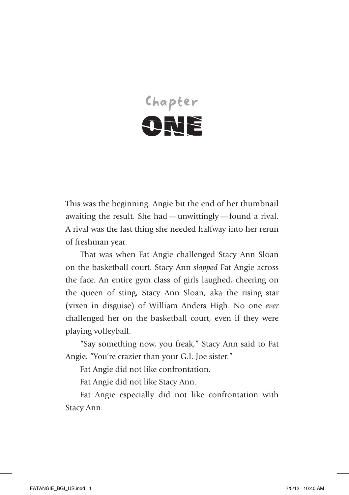## Chapter **ONE**

This was the beginning. Angie bit the end of her thumbnail awaiting the result. She had — unwittingly — found a rival. A rival was the last thing she needed halfway into her rerun of freshman year.

That was when Fat Angie challenged Stacy Ann Sloan on the basketball court. Stacy Ann *slapped* Fat Angie across the face. An entire gym class of girls laughed, cheering on the queen of sting, Stacy Ann Sloan, aka the rising star (vixen in disguise) of William Anders High. No one *ever* challenged her on the basketball court, even if they were playing volleyball.

"Say something now, you freak," Stacy Ann said to Fat Angie. "You're crazier than your G.I. Joe sister."

Fat Angie did not like confrontation.

Fat Angie did not like Stacy Ann.

Fat Angie especially did not like confrontation with Stacy Ann.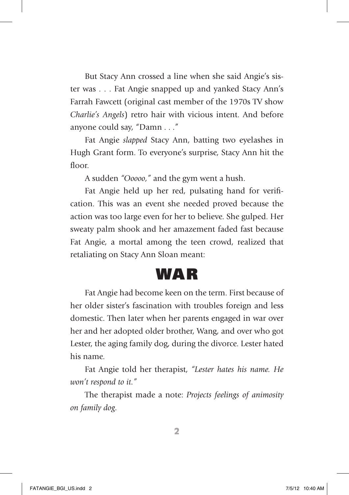But Stacy Ann crossed a line when she said Angie's sister was . . . Fat Angie snapped up and yanked Stacy Ann's Farrah Fawcett (original cast member of the 1970s TV show *Charlie's Angels*) retro hair with vicious intent. And before anyone could say, "Damn . . ."

Fat Angie *slapped* Stacy Ann, batting two eyelashes in Hugh Grant form. To everyone's surprise, Stacy Ann hit the floor.

A sudden *" Ooooo,"* and the gym went a hush.

Fat Angie held up her red, pulsating hand for verification. This was an event she needed proved because the action was too large even for her to believe. She gulped. Her sweaty palm shook and her amazement faded fast because Fat Angie, a mortal among the teen crowd, realized that retaliating on Stacy Ann Sloan meant:

## **WAR**

Fat Angie had become keen on the term. First because of her older sister's fascination with troubles foreign and less domestic. Then later when her parents engaged in war over her and her adopted older brother, Wang, and over who got Lester, the aging family dog, during the divorce. Lester hated his name.

Fat Angie told her therapist, *" Lester hates his name. He won't respond to it."*

The therapist made a note: *Projects feelings of animosity on family dog.*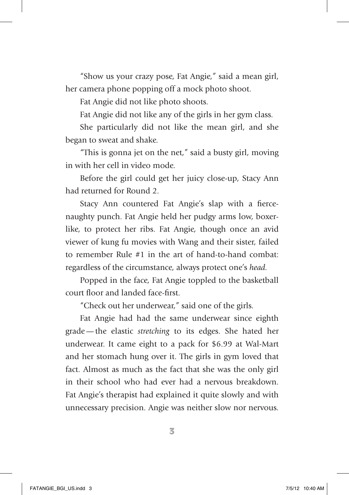"Show us your crazy pose, Fat Angie," said a mean girl, her camera phone popping off a mock photo shoot.

Fat Angie did not like photo shoots.

Fat Angie did not like any of the girls in her gym class.

She particularly did not like the mean girl, and she began to sweat and shake.

"This is gonna jet on the net," said a busty girl, moving in with her cell in video mode.

Before the girl could get her juicy close-up, Stacy Ann had returned for Round 2.

Stacy Ann countered Fat Angie's slap with a fiercenaughty punch. Fat Angie held her pudgy arms low, boxerlike, to protect her ribs. Fat Angie, though once an avid viewer of kung fu movies with Wang and their sister, failed to remember Rule  $#1$  in the art of hand-to-hand combat: regardless of the circumstance, always protect one's *head.*

Popped in the face, Fat Angie toppled to the basketball court floor and landed face-first.

" Check out her underwear," said one of the girls.

Fat Angie had had the same underwear since eighth grade — the elastic *stretching* to its edges. She hated her underwear. It came eight to a pack for \$6.99 at Wal-Mart and her stomach hung over it. The girls in gym loved that fact. Almost as much as the fact that she was the only girl in their school who had ever had a nervous breakdown. Fat Angie's therapist had explained it quite slowly and with unnecessary precision. Angie was neither slow nor nervous.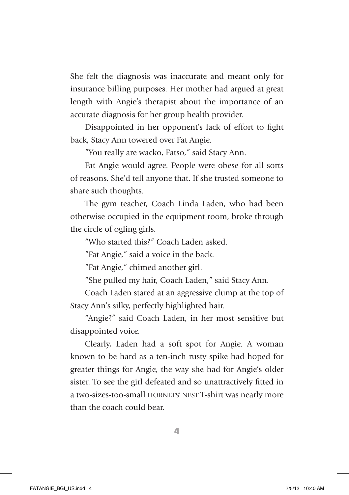She felt the diagnosis was inaccurate and meant only for insurance billing purposes. Her mother had argued at great length with Angie's therapist about the importance of an accurate diagnosis for her group health provider.

Disappointed in her opponent's lack of effort to fight back, Stacy Ann towered over Fat Angie.

"You really are wacko, Fatso," said Stacy Ann.

Fat Angie would agree. People were obese for all sorts of reasons. She'd tell anyone that. If she trusted someone to share such thoughts.

The gym teacher, Coach Linda Laden, who had been otherwise occupied in the equipment room, broke through the circle of ogling girls.

"Who started this?" Coach Laden asked.

"Fat Angie," said a voice in the back.

"Fat Angie," chimed another girl.

"She pulled my hair, Coach Laden," said Stacy Ann.

Coach Laden stared at an aggressive clump at the top of Stacy Ann's silky, perfectly highlighted hair.

" Angie?" said Coach Laden, in her most sensitive but disappointed voice.

Clearly, Laden had a soft spot for Angie. A woman known to be hard as a ten-inch rusty spike had hoped for greater things for Angie, the way she had for Angie's older sister. To see the girl defeated and so unattractively fitted in a two-sizes-too-small HORNETS' NEST T-shirt was nearly more than the coach could bear.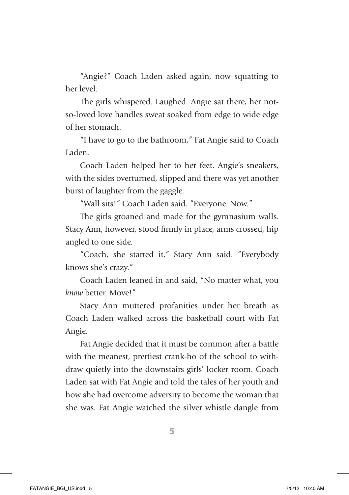" Angie?" Coach Laden asked again, now squatting to her level.

The girls whispered. Laughed. Angie sat there, her not so- loved love handles sweat soaked from edge to wide edge of her stomach.

"I have to go to the bathroom," Fat Angie said to Coach Laden.

Coach Laden helped her to her feet. Angie's sneakers, with the sides overturned, slipped and there was yet another burst of laughter from the gaggle.

"Wall sits!" Coach Laden said. " Everyone. Now."

The girls groaned and made for the gymnasium walls. Stacy Ann, however, stood firmly in place, arms crossed, hip angled to one side.

" Coach, she started it," Stacy Ann said. " Everybody knows she's crazy."

Coach Laden leaned in and said, "No matter what, you *know* better. Move!"

Stacy Ann muttered profanities under her breath as Coach Laden walked across the basketball court with Fat Angie.

Fat Angie decided that it must be common after a battle with the meanest, prettiest crank-ho of the school to withdraw quietly into the downstairs girls' locker room. Coach Laden sat with Fat Angie and told the tales of her youth and how she had overcome adversity to become the woman that she was. Fat Angie watched the silver whistle dangle from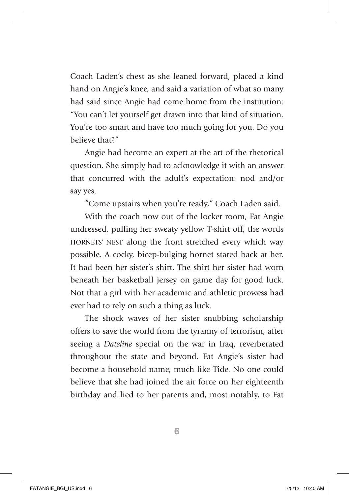Coach Laden's chest as she leaned forward, placed a kind hand on Angie's knee, and said a variation of what so many had said since Angie had come home from the institution: "You can't let yourself get drawn into that kind of situation. You're too smart and have too much going for you. Do you believe that?"

Angie had become an expert at the art of the rhetorical question. She simply had to acknowledge it with an answer that concurred with the adult's expectation: nod and/or say yes.

"Come upstairs when you're ready," Coach Laden said.

With the coach now out of the locker room, Fat Angie undressed, pulling her sweaty yellow T-shirt off, the words HORNETS' NEST along the front stretched every which way possible. A cocky, bicep-bulging hornet stared back at her. It had been her sister's shirt. The shirt her sister had worn beneath her basketball jersey on game day for good luck. Not that a girl with her academic and athletic prowess had ever had to rely on such a thing as luck.

The shock waves of her sister snubbing scholarship offers to save the world from the tyranny of terrorism, after seeing a *Dateline* special on the war in Iraq, reverberated throughout the state and beyond. Fat Angie's sister had become a household name, much like Tide. No one could believe that she had joined the air force on her eighteenth birthday and lied to her parents and, most notably, to Fat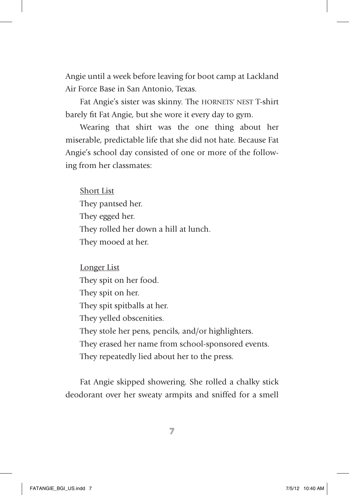Angie until a week before leaving for boot camp at Lackland Air Force Base in San Antonio, Texas.

Fat Angie's sister was skinny. The HORNETS' NEST T-shirt barely fit Fat Angie, but she wore it every day to gym.

Wearing that shirt was the one thing about her miserable, predictable life that she did not hate. Because Fat Angie's school day consisted of one or more of the following from her classmates:

 Short List They pantsed her. They egged her. They rolled her down a hill at lunch. They mooed at her.

 Longer List They spit on her food. They spit on her. They spit spitballs at her. They yelled obscenities. They stole her pens, pencils, and/or highlighters. They erased her name from school-sponsored events. They repeatedly lied about her to the press.

Fat Angie skipped showering. She rolled a chalky stick deodorant over her sweaty armpits and sniffed for a smell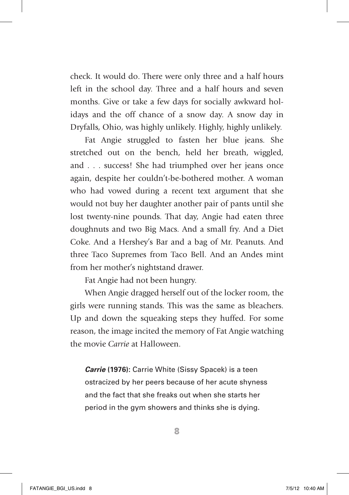check. It would do. There were only three and a half hours left in the school day. Three and a half hours and seven months. Give or take a few days for socially awkward holidays and the off chance of a snow day. A snow day in Dryfalls, Ohio, was highly unlikely. Highly, highly unlikely.

Fat Angie struggled to fasten her blue jeans. She stretched out on the bench, held her breath, wiggled, and . . . success! She had triumphed over her jeans once again, despite her couldn't-be-bothered mother. A woman who had vowed during a recent text argument that she would not buy her daughter another pair of pants until she lost twenty-nine pounds. That day, Angie had eaten three doughnuts and two Big Macs. And a small fry. And a Diet Coke. And a Hershey's Bar and a bag of Mr. Peanuts. And three Taco Supremes from Taco Bell. And an Andes mint from her mother's nightstand drawer.

Fat Angie had not been hungry.

When Angie dragged herself out of the locker room, the girls were running stands. This was the same as bleachers. Up and down the squeaking steps they huffed. For some reason, the image incited the memory of Fat Angie watching the movie *Carrie* at Halloween.

*Carrie* (1976): Carrie White (Sissy Spacek) is a teen ostracized by her peers because of her acute shyness and the fact that she freaks out when she starts her period in the gym showers and thinks she is dying.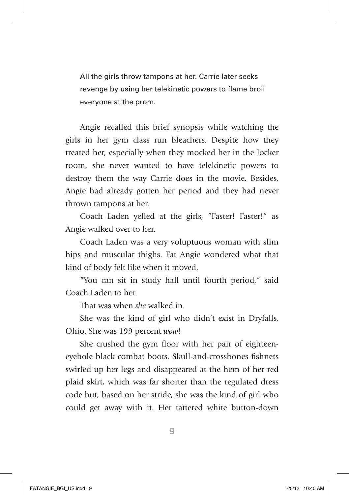All the girls throw tampons at her. Carrie later seeks revenge by using her telekinetic powers to flame broil everyone at the prom.

Angie recalled this brief synopsis while watching the girls in her gym class run bleachers. Despite how they treated her, especially when they mocked her in the locker room, she never wanted to have telekinetic powers to destroy them the way Carrie does in the movie. Besides, Angie had already gotten her period and they had never thrown tampons at her.

Coach Laden yelled at the girls, "Faster! Faster!" as Angie walked over to her.

Coach Laden was a very voluptuous woman with slim hips and muscular thighs. Fat Angie wondered what that kind of body felt like when it moved.

"You can sit in study hall until fourth period," said Coach Laden to her.

That was when *she* walked in.

She was the kind of girl who didn't exist in Dryfalls, Ohio. She was 199 percent *wow*!

She crushed the gym floor with her pair of eighteeneyehole black combat boots. Skull-and-crossbones fishnets swirled up her legs and disappeared at the hem of her red plaid skirt, which was far shorter than the regulated dress code but, based on her stride, she was the kind of girl who could get away with it. Her tattered white button-down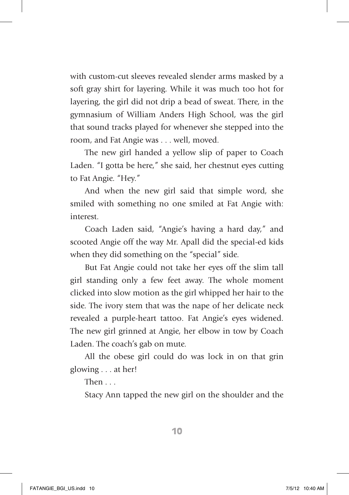with custom-cut sleeves revealed slender arms masked by a soft gray shirt for layering. While it was much too hot for layering, the girl did not drip a bead of sweat. There, in the gymnasium of William Anders High School, was the girl that sound tracks played for whenever she stepped into the room, and Fat Angie was . . . well, moved.

The new girl handed a yellow slip of paper to Coach Laden. "I gotta be here," she said, her chestnut eyes cutting to Fat Angie. "Hey."

And when the new girl said that simple word, she smiled with something no one smiled at Fat Angie with: interest.

Coach Laden said, " Angie's having a hard day," and scooted Angie off the way Mr. Apall did the special-ed kids when they did something on the "special" side.

But Fat Angie could not take her eyes off the slim tall girl standing only a few feet away. The whole moment clicked into slow motion as the girl whipped her hair to the side. The ivory stem that was the nape of her delicate neck revealed a purple-heart tattoo. Fat Angie's eyes widened. The new girl grinned at Angie, her elbow in tow by Coach Laden. The coach's gab on mute.

All the obese girl could do was lock in on that grin glowing . . . at her!

Then . . .

Stacy Ann tapped the new girl on the shoulder and the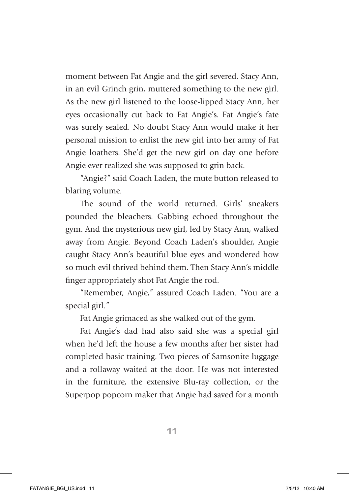moment between Fat Angie and the girl severed. Stacy Ann, in an evil Grinch grin, muttered something to the new girl. As the new girl listened to the loose-lipped Stacy Ann, her eyes occasionally cut back to Fat Angie's. Fat Angie's fate was surely sealed. No doubt Stacy Ann would make it her personal mission to enlist the new girl into her army of Fat Angie loathers. She'd get the new girl on day one before Angie ever realized she was supposed to grin back.

"Angie?" said Coach Laden, the mute button released to blaring volume.

The sound of the world returned. Girls' sneakers pounded the bleachers. Gabbing echoed throughout the gym. And the mysterious new girl, led by Stacy Ann, walked away from Angie. Beyond Coach Laden's shoulder, Angie caught Stacy Ann's beautiful blue eyes and wondered how so much evil thrived behind them. Then Stacy Ann's middle finger appropriately shot Fat Angie the rod.

" Remember, Angie," assured Coach Laden. "You are a special girl."

Fat Angie grimaced as she walked out of the gym.

Fat Angie's dad had also said she was a special girl when he'd left the house a few months after her sister had completed basic training. Two pieces of Samsonite luggage and a rollaway waited at the door. He was not interested in the furniture, the extensive Blu-ray collection, or the Superpop popcorn maker that Angie had saved for a month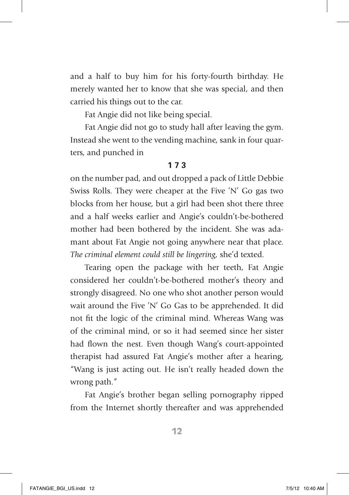and a half to buy him for his forty-fourth birthday. He merely wanted her to know that she was special, and then carried his things out to the car.

Fat Angie did not like being special.

Fat Angie did not go to study hall after leaving the gym. Instead she went to the vending machine, sank in four quarters, and punched in

## **1 7 3**

on the number pad, and out dropped a pack of Little Debbie Swiss Rolls. They were cheaper at the Five 'N' Go gas two blocks from her house, but a girl had been shot there three and a half weeks earlier and Angie's couldn't-be-bothered mother had been bothered by the incident. She was adamant about Fat Angie not going anywhere near that place. *The criminal element could still be lingering,* she'd texted.

Tearing open the package with her teeth, Fat Angie considered her couldn't-be-bothered mother's theory and strongly disagreed. No one who shot another person would wait around the Five 'N' Go Gas to be apprehended. It did not fit the logic of the criminal mind. Whereas Wang was of the criminal mind, or so it had seemed since her sister had flown the nest. Even though Wang's court-appointed therapist had assured Fat Angie's mother after a hearing, "Wang is just acting out. He isn't really headed down the wrong path."

Fat Angie's brother began selling pornography ripped from the Internet shortly thereafter and was apprehended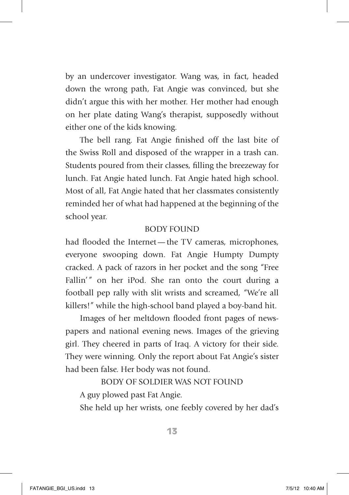by an undercover investigator. Wang was, in fact, headed down the wrong path, Fat Angie was convinced, but she didn't argue this with her mother. Her mother had enough on her plate dating Wang's therapist, supposedly without either one of the kids knowing.

The bell rang. Fat Angie finished off the last bite of the Swiss Roll and disposed of the wrapper in a trash can. Students poured from their classes, filling the breezeway for lunch. Fat Angie hated lunch. Fat Angie hated high school. Most of all, Fat Angie hated that her classmates consistently reminded her of what had happened at the beginning of the school year.

## BODY FOUND

had flooded the Internet—the TV cameras, microphones, everyone swooping down. Fat Angie Humpty Dumpty cracked. A pack of razors in her pocket and the song "Free Fallin'" on her iPod. She ran onto the court during a football pep rally with slit wrists and screamed, "We're all killers!" while the high-school band played a boy-band hit.

Images of her meltdown flooded front pages of newspapers and national evening news. Images of the grieving girl. They cheered in parts of Iraq. A victory for their side. They were winning. Only the report about Fat Angie's sister had been false. Her body was not found.

BODY OF SOLDIER WAS NOT FOUND

A guy plowed past Fat Angie.

She held up her wrists, one feebly covered by her dad's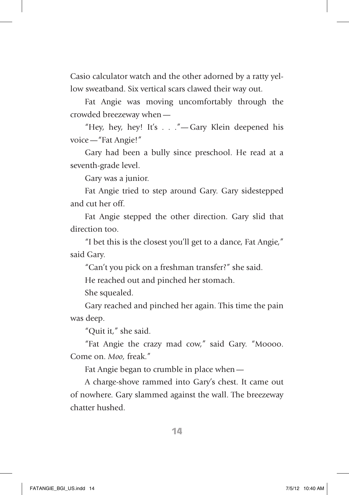Casio calculator watch and the other adorned by a ratty yellow sweatband. Six vertical scars clawed their way out.

Fat Angie was moving uncomfortably through the crowded breezeway when —

"Hey, hey, hey! It's  $\ldots$ ."— Gary Klein deepened his voice —"Fat Angie!"

Gary had been a bully since preschool. He read at a seventh-grade level.

Gary was a junior.

Fat Angie tried to step around Gary. Gary sidestepped and cut her off.

Fat Angie stepped the other direction. Gary slid that direction too.

"I bet this is the closest you'll get to a dance, Fat Angie," said Gary.

"Can't you pick on a freshman transfer?" she said.

He reached out and pinched her stomach.

She squealed.

Gary reached and pinched her again. This time the pain was deep.

"Quit it," she said.

"Fat Angie the crazy mad cow," said Gary. " Moooo. Come on. *Moo,* freak."

Fat Angie began to crumble in place when —

A charge- shove rammed into Gary's chest. It came out of nowhere. Gary slammed against the wall. The breezeway chatter hushed.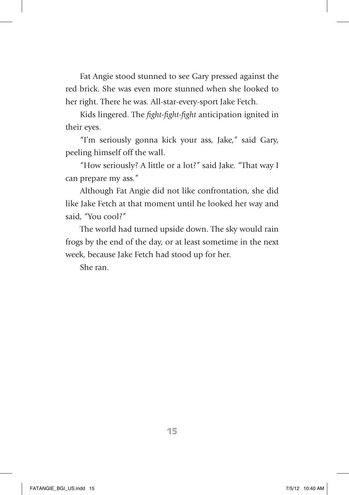Fat Angie stood stunned to see Gary pressed against the red brick. She was even more stunned when she looked to her right. There he was. All-star-every-sport Jake Fetch.

Kids lingered. The *fight-fight-fight* anticipation ignited in their eyes.

"I'm seriously gonna kick your ass, Jake," said Gary, peeling himself off the wall.

"How seriously? A little or a lot?" said Jake. "That way I can prepare my ass."

Although Fat Angie did not like confrontation, she did like Jake Fetch at that moment until he looked her way and said, "You cool?"

The world had turned upside down. The sky would rain frogs by the end of the day, or at least sometime in the next week, because Jake Fetch had stood up for her.

She ran.